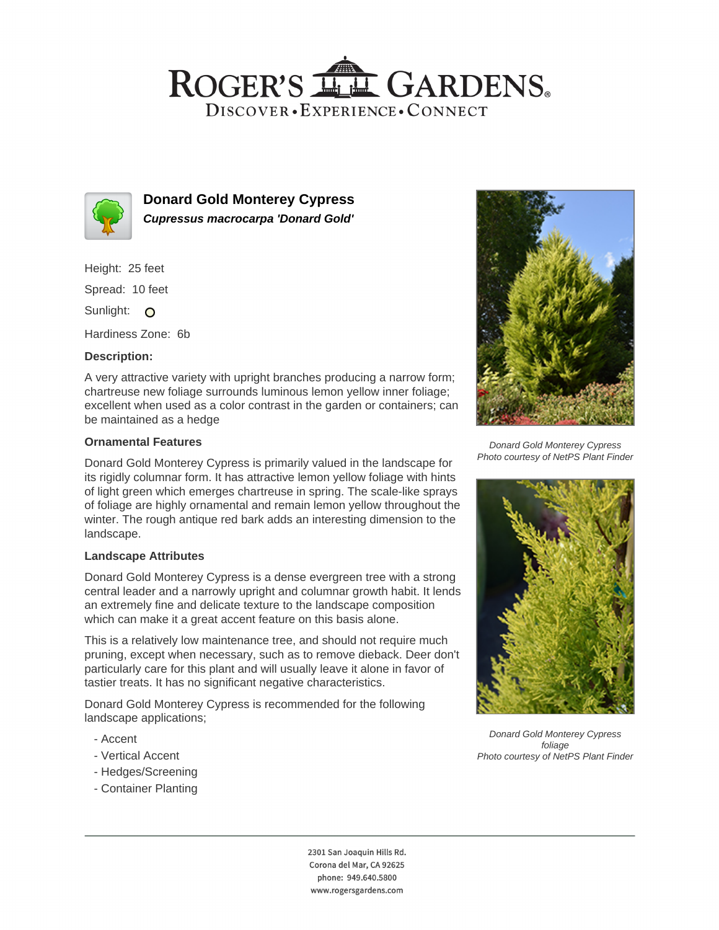## ROGER'S LL GARDENS. DISCOVER · EXPERIENCE · CONNECT



**Donard Gold Monterey Cypress Cupressus macrocarpa 'Donard Gold'**

Height: 25 feet

Spread: 10 feet

Sunlight: O

Hardiness Zone: 6b

### **Description:**

A very attractive variety with upright branches producing a narrow form; chartreuse new foliage surrounds luminous lemon yellow inner foliage; excellent when used as a color contrast in the garden or containers; can be maintained as a hedge

#### **Ornamental Features**

Donard Gold Monterey Cypress is primarily valued in the landscape for its rigidly columnar form. It has attractive lemon yellow foliage with hints of light green which emerges chartreuse in spring. The scale-like sprays of foliage are highly ornamental and remain lemon yellow throughout the winter. The rough antique red bark adds an interesting dimension to the landscape.

#### **Landscape Attributes**

Donard Gold Monterey Cypress is a dense evergreen tree with a strong central leader and a narrowly upright and columnar growth habit. It lends an extremely fine and delicate texture to the landscape composition which can make it a great accent feature on this basis alone.

This is a relatively low maintenance tree, and should not require much pruning, except when necessary, such as to remove dieback. Deer don't particularly care for this plant and will usually leave it alone in favor of tastier treats. It has no significant negative characteristics.

Donard Gold Monterey Cypress is recommended for the following landscape applications;

- Accent
- Vertical Accent
- Hedges/Screening
- Container Planting



Donard Gold Monterey Cypress Photo courtesy of NetPS Plant Finder



Donard Gold Monterey Cypress foliage Photo courtesy of NetPS Plant Finder